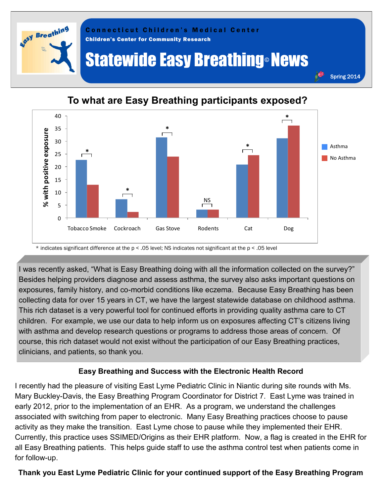



## **To what are Easy Breathing participants exposed?**

\* indicates significant difference at the p < .05 level; NS indicates not significant at the p < .05 level

I was recently asked, "What is Easy Breathing doing with all the information collected on the survey?" Besides helping providers diagnose and assess asthma, the survey also asks important questions on exposures, family history, and co-morbid conditions like eczema. Because Easy Breathing has been collecting data for over 15 years in CT, we have the largest statewide database on childhood asthma. This rich dataset is a very powerful tool for continued efforts in providing quality asthma care to CT children. For example, we use our data to help inform us on exposures affecting CT's citizens living with asthma and develop research questions or programs to address those areas of concern. Of course, this rich dataset would not exist without the participation of our Easy Breathing practices, clinicians, and patients, so thank you.

## **Easy Breathing and Success with the Electronic Health Record**

I recently had the pleasure of visiting East Lyme Pediatric Clinic in Niantic during site rounds with Ms. Mary Buckley-Davis, the Easy Breathing Program Coordinator for District 7. East Lyme was trained in early 2012, prior to the implementation of an EHR. As a program, we understand the challenges associated with switching from paper to electronic. Many Easy Breathing practices choose to pause activity as they make the transition. East Lyme chose to pause while they implemented their EHR. Currently, this practice uses SSIMED/Origins as their EHR platform. Now, a flag is created in the EHR for all Easy Breathing patients. This helps guide staff to use the asthma control test when patients come in for follow-up.

## **Thank you East Lyme Pediatric Clinic for your continued support of the Easy Breathing Program**